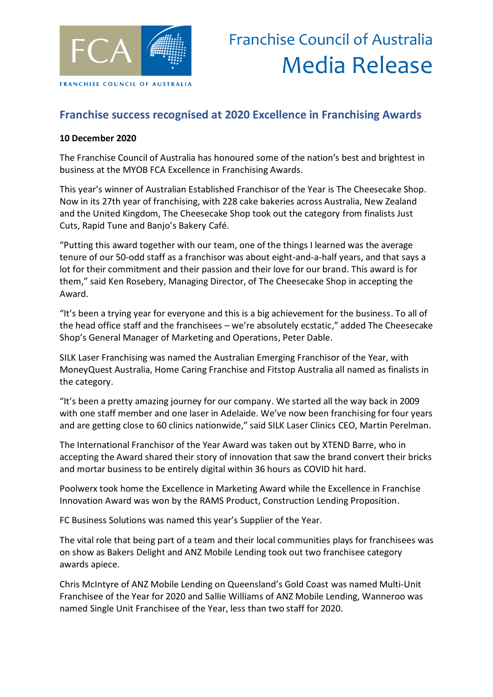

## **Franchise success recognised at 2020 Excellence in Franchising Awards**

## **10 December 2020**

The Franchise Council of Australia has honoured some of the nation's best and brightest in business at the MYOB FCA Excellence in Franchising Awards.

This year's winner of Australian Established Franchisor of the Year is The Cheesecake Shop. Now in its 27th year of franchising, with 228 cake bakeries across Australia, New Zealand and the United Kingdom, The Cheesecake Shop took out the category from finalists Just Cuts, Rapid Tune and Banjo's Bakery Café.

"Putting this award together with our team, one of the things I learned was the average tenure of our 50-odd staff as a franchisor was about eight-and-a-half years, and that says a lot for their commitment and their passion and their love for our brand. This award is for them," said Ken Rosebery, Managing Director, of The Cheesecake Shop in accepting the Award.

"It's been a trying year for everyone and this is a big achievement for the business. To all of the head office staff and the franchisees – we're absolutely ecstatic," added The Cheesecake Shop's General Manager of Marketing and Operations, Peter Dable.

SILK Laser Franchising was named the Australian Emerging Franchisor of the Year, with MoneyQuest Australia, Home Caring Franchise and Fitstop Australia all named as finalists in the category.

"It's been a pretty amazing journey for our company. We started all the way back in 2009 with one staff member and one laser in Adelaide. We've now been franchising for four years and are getting close to 60 clinics nationwide," said SILK Laser Clinics CEO, Martin Perelman.

The International Franchisor of the Year Award was taken out by XTEND Barre, who in accepting the Award shared their story of innovation that saw the brand convert their bricks and mortar business to be entirely digital within 36 hours as COVID hit hard.

Poolwerx took home the Excellence in Marketing Award while the Excellence in Franchise Innovation Award was won by the RAMS Product, Construction Lending Proposition.

FC Business Solutions was named this year's Supplier of the Year.

The vital role that being part of a team and their local communities plays for franchisees was on show as Bakers Delight and ANZ Mobile Lending took out two franchisee category awards apiece.

Chris McIntyre of ANZ Mobile Lending on Queensland's Gold Coast was named Multi-Unit Franchisee of the Year for 2020 and Sallie Williams of ANZ Mobile Lending, Wanneroo was named Single Unit Franchisee of the Year, less than two staff for 2020.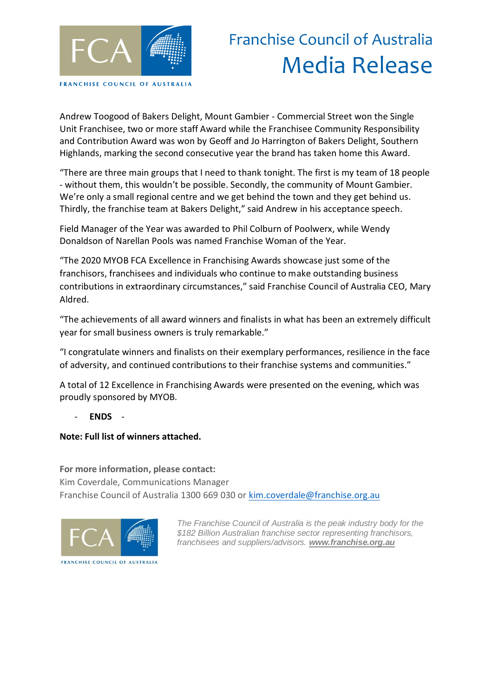

## Franchise Council of Australia Media Release

Andrew Toogood of Bakers Delight, Mount Gambier - Commercial Street won the Single Unit Franchisee, two or more staff Award while the Franchisee Community Responsibility and Contribution Award was won by Geoff and Jo Harrington of Bakers Delight, Southern Highlands, marking the second consecutive year the brand has taken home this Award.

"There are three main groups that I need to thank tonight. The first is my team of 18 people - without them, this wouldn't be possible. Secondly, the community of Mount Gambier. We're only a small regional centre and we get behind the town and they get behind us. Thirdly, the franchise team at Bakers Delight," said Andrew in his acceptance speech.

Field Manager of the Year was awarded to Phil Colburn of Poolwerx, while Wendy Donaldson of Narellan Pools was named Franchise Woman of the Year.

"The 2020 MYOB FCA Excellence in Franchising Awards showcase just some of the franchisors, franchisees and individuals who continue to make outstanding business contributions in extraordinary circumstances," said Franchise Council of Australia CEO, Mary Aldred.

"The achievements of all award winners and finalists in what has been an extremely difficult year for small business owners is truly remarkable."

"I congratulate winners and finalists on their exemplary performances, resilience in the face of adversity, and continued contributions to their franchise systems and communities."

A total of 12 Excellence in Franchising Awards were presented on the evening, which was proudly sponsored by MYOB.

- **ENDS** -

**Note: Full list of winners attached.**

**For more information, please contact:** Kim Coverdale, Communications Manager Franchise Council of Australia 1300 669 030 or [kim.coverdale@franchise.org.au](mailto:kim.coverdale@franchise.org.au)



*The Franchise Council of Australia is the peak industry body for the \$182 Billion Australian franchise sector representing franchisors, franchisees and suppliers/advisors. www.franchise.org.au*